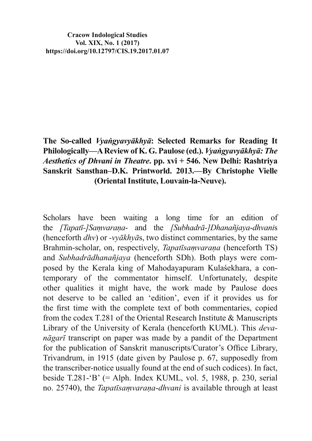**Cracow Indological Studies Vol. XIX, No. 1 (2017) https://doi.org/10.12797/CIS.19.2017.01.07**

## **The So-called** *Vyangyavyākhyā***: Selected Remarks for Reading It** Philologically—A Review of K. G. Paulose (ed.). *Vyangyavyākhyā: The Aesthetics of Dhvani in Theatre***. pp. xvi + 546. New Delhi: Rashtriya**  Sanskrit Sansthan-D.K. Printworld. 2013. **By Christophe Vielle (Oriental Institute, Louvain-la-Neuve).**

Scholars have been waiting a long time for an edition of the *[Tapatī-]Samvarana-* and the *[Subhadrā-]Dhanañjaya-dhvanis* (henceforth  $dhv$ ) or *-vv* $\bar{a}khv\bar{a}s$ , two distinct commentaries, by the same Brahmin-scholar, on, respectively, *Tapatīsamvaraņa* (henceforth TS) and *Subhadrādhanañjaya* (henceforth SDh). Both plays were composed by the Kerala king of Mahodayapuram Kulasekhara, a contemporary of the commentator himself. Unfortunately, despite other qualities it might have, the work made by Paulose does not deserve to be called an 'edition', even if it provides us for the first time with the complete text of both commentaries, copied from the codex T.281 of the Oriental Research Institute & Manuscripts Library of the University of Kerala (henceforth KUML). This *devanāgarī* transcript on paper was made by a pandit of the Department for the publication of Sanskrit manuscripts/Curator's Office Library, Trivandrum, in 1915 (date given by Paulose p. 67, supposedly from the transcriber-notice usually found at the end of such codices). In fact, beside T.281-'B'  $(=$  Alph. Index KUML, vol. 5, 1988, p. 230, serial no. 25740), the *Tapatīsamvaraņa-dhvani* is available through at least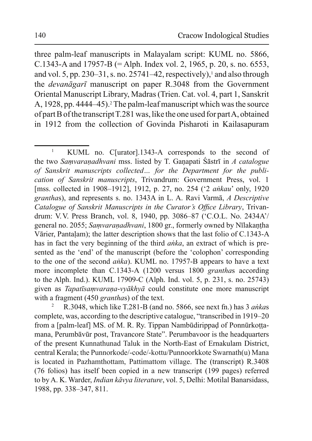three palm-leaf manuscripts in Malayalam script: KUML no. 5866, C.1343-A and 17957-B (= Alph. Index vol. 2, 1965, p. 20, s. no. 6553, and vol. 5, pp. 230–31, s. no. 25741–42, respectively), $\frac{1}{2}$  and also through the *devanagart* manuscript on paper R.3048 from the Government Oriental Manuscript Library, Madras (Trien, Cat. vol. 4, part 1, Sanskrit A, 1928, pp. 4444–45).<sup>2</sup> The palm-leaf manuscript which was the source of part B of the transcript T.281 was, like the one used for part A, obtained in 1912 from the collection of Govinda Pisharoti in Kailasapuram

R.3048, which like T.281-B (and no. 5866, see next fn.) has 3 ankas complete, was, according to the descriptive catalogue, "transcribed in 1919–20" from a [palm-leaf] MS. of M. R. Ry. Tippan Nambūdirippad of Ponnūrkottamana, Perumbāvūr post, Travancore State". Perumbavoor is the headquarters of the present Kunnathunad Taluk in the North-East of Ernakulam District, central Kerala; the Punnorkode/-code/-kottu/Punnoorkkote Swarnath(u) Mana is located in Pazhamthottam, Pattimattom village. The (transcript) R.3408 (76 folios) has itself been copied in a new transcript (199 pages) referred to by A. K. Warder, *Indian kāvya literature*, vol. 5, Delhi: Motilal Banarsidass, 1988, pp. 338-347, 811.

 $\mathbf{1}$ KUML no. C[urator].1343-A corresponds to the second of the two Samvaranadhvani mss. listed by T. Ganapati Śāstrī in A catalogue of Sanskrit manuscripts collected... for the Department for the publication of Sanskrit manuscripts, Trivandrum: Government Press, vol. 1 [mss. collected in 1908–1912], 1912, p. 27, no. 254 ('2 *ankau*' only, 1920 granthas), and represents s. no. 1343A in L. A. Ravi Varmā, A Descriptive Catalogue of Sanskrit Manuscripts in the Curator's Office Library, Trivandrum: V.V. Press Branch, vol. 8, 1940, pp. 3086–87 ('C.O.L. No. 2434A'/ general no. 2055; Samvaranadhvani, 1800 gr., formerly owned by Nīlakantha Vārier, Pantalam); the latter description shows that the last folio of C.1343-A has in fact the very beginning of the third *anka*, an extract of which is presented as the 'end' of the manuscript (before the 'colophon' corresponding to the one of the second *anka*). KUML no. 17957-B appears to have a text more incomplete than C.1343-A (1200 versus 1800 granthas according to the Alph. Ind.). KUML 17909-C (Alph. Ind. vol. 5, p. 231, s. no. 25743) given as *Tapatīsamvarana-vyākhyā* could constitute one more manuscript with a fragment (450 granthas) of the text.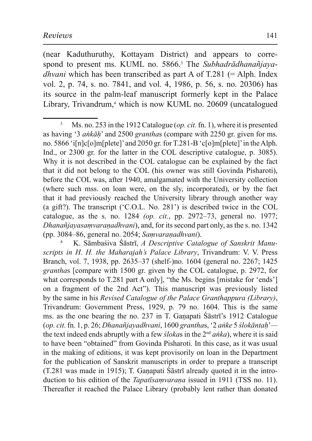(near Kaduthuruthy, Kottayam District) and appears to correspond to present ms. KUML no. 5866.<sup>3</sup> The Subhadrādhanañjaya*dhvani* which has been transcribed as part A of T.281 (= Alph. Index vol. 2, p. 74, s. no. 7841, and vol. 4, 1986, p. 56, s. no. 20306) has its source in the palm-leaf manuscript formerly kept in the Palace Library, Trivandrum,<sup>4</sup> which is now KUML no. 20609 (uncatalogued

K. Sāmbasiva Sāstrī, A Descriptive Catalogue of Sanskrit Manuscripts in H. H. the Maharajah's Palace Library, Trivandrum: V. V. Press Branch, vol. 7, 1938, pp. 2635–37 (shelf-)no. 1604 (general no. 2267; 1425) granthas [compare with 1500 gr. given by the COL catalogue, p. 2972, for what corresponds to T.281 part A only], "the Ms. begins [mistake for 'ends'] on a fragment of the 2nd Act"). This manuscript was previously listed by the same in his Revised Catalogue of the Palace Granthappura (Library), Trivandrum: Government Press, 1929, p. 79 no. 1604. This is the same ms. as the one bearing the no. 237 in T. Ganapati Śāstrī's 1912 Catalogue (op. cit. fn. 1, p. 26; Dhanañjayadhvani, 1600 granthas, '2 anke 5 slokāntah' the text indeed ends abruptly with a few *slokas* in the 2<sup>nd</sup> anka), where it is said to have been "obtained" from Govinda Pisharoti. In this case, as it was usual in the making of editions, it was kept provisorily on loan in the Department for the publication of Sanskrit manuscripts in order to prepare a transcript (T.281 was made in 1915); T. Ganapati Śāstrī already quoted it in the introduction to his edition of the *Tapatisamvarana* issued in 1911 (TSS no. 11). Thereafter it reached the Palace Library (probably lent rather than donated

 $\overline{3}$ Ms. no. 253 in the 1912 Catalogue (*op. cit.* fn. 1), where it is presented as having '3 *ankah'* and 2500 *granthas* (compare with 2250 gr. given for ms. no. 5866 'i[n]c[o]m[plete]' and 2050 gr. for T.281-B 'c[o]m[plete]' in the Alph. Ind., or 2300 gr. for the latter in the COL descriptive catalogue, p. 3085). Why it is not described in the COL catalogue can be explained by the fact that it did not belong to the COL (his owner was still Govinda Pisharoti), before the COL was, after 1940, amalgamated with the University collection (where such mss. on loan were, on the sly, incorporated), or by the fact that it had previously reached the University library through another way (a gift?). The transcript ('C.O.L. No. 281') is described twice in the COL catalogue, as the s. no. 1284 (op. cit., pp. 2972–73, general no. 1977; Dhanañjayasamvaranadhvani), and, for its second part only, as the s. no. 1342 (pp. 3084–86, general no. 2054; Samvaranadhvani).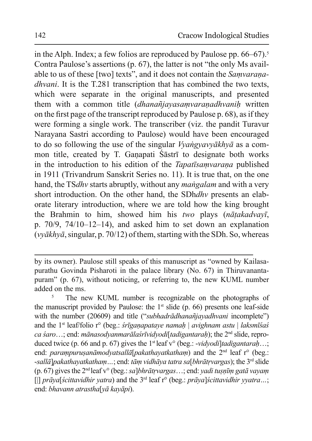in the Alph. Index; a few folios are reproduced by Paulose pp.  $66-67$ ).<sup>5</sup> Contra Paulose's assertions (p. 67), the latter is not "the only Ms available to us of these [two] texts", and it does not contain the Samvarana*dhvani*. It is the T.281 transcription that has combined the two texts, which were separate in the original manuscripts, and presented them with a common title (dhanañjayasamvaranadhvanih written on the first page of the transcript reproduced by Paulose p. 68), as if they were forming a single work. The transcriber (viz. the pandit Turavur Naravana Sastri according to Paulose) would have been encouraged to do so following the use of the singular *Vyangyavyākhyā* as a common title, created by T. Ganapati Sastri to designate both works in the introduction to his edition of the Tapatisamvarana published in 1911 (Trivandrum Sanskrit Series no. 11). It is true that, on the one hand, the TSdhv starts abruptly, without any *mangalam* and with a very short introduction. On the other hand, the SDhdhv presents an elaborate literary introduction, where we are told how the king brought the Brahmin to him, showed him his two plays (nātakadvayī, p.  $70/9$ ,  $74/10-12-14$ ), and asked him to set down an explanation  $(vy\bar{a}khy\bar{a}$ , singular, p. 70/12) of them, starting with the SDh. So, whereas

by its owner). Paulose still speaks of this manuscript as "owned by Kailasapurathu Govinda Pisharoti in the palace library (No. 67) in Thiruvanantapuram" (p. 67), without noticing, or referring to, the new KUML number added on the ms.

 $\overline{5}$ The new KUML number is recognizable on the photographs of the manuscript provided by Paulose: the  $1<sup>st</sup>$  slide (p. 66) presents one leaf-side with the number (20609) and title ("subhadrādhanañjayadhvani incomplete") and the 1<sup>st</sup> leaf/folio r° (beg.: *śrīganapataye namah | avighnam astu | laksmīśaś* ca saro...; end: mānasodyanmarālas rīvidyodi[tadigantarah]; the  $2<sup>nd</sup>$  slide, reproduced twice (p. 66 and p. 67) gives the 1<sup>st</sup> leaf  $v^{\circ}$  (beg.: -vidvodiltadigantarah...; end: parampurusanāmodyatsallā[pakathayatkatham) and the 2<sup>nd</sup> leaf r° (beg.: -sallā]pakathayatkatham...; end: tām vidhāya tatra sa[bhrātrvargas]; the  $3^{rd}$  slide (p. 67) gives the 2<sup>nd</sup> leaf v° (beg.: sa]*bhrātrvargas...*; end: *yadi tusnīm gatā vayam* [|]  $prāva[scittavidhir \nvarra)$  and the 3<sup>rd</sup> leaf r° (beg.:  $prāva[scittavidhir \nvarra...]$ ) end: bhavann atrastha[vā kavāpi).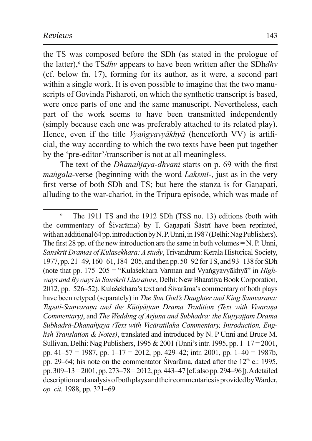the TS was composed before the SDh (as stated in the prologue of the latter),<sup>6</sup> the TS*dhv* appears to have been written after the SDh*dhv* (cf. below fn. 17), forming for its author, as it were, a second part within a single work. It is even possible to imagine that the two manuscripts of Govinda Pisharoti, on which the synthetic transcript is based. were once parts of one and the same manuscript. Nevertheless, each part of the work seems to have been transmitted independently (simply because each one was preferably attached to its related play). Hence, even if the title *Vyangyayyākhyā* (henceforth VV) is artificial, the way according to which the two texts have been put together by the 'pre-editor'/transcriber is not at all meaningless.

The text of the *Dhanañjaya-dhyani* starts on p. 69 with the first *mangala-verse* (beginning with the word *Laksmi*-, just as in the very first verse of both SDh and TS; but here the stanza is for Ganapati, alluding to the war-chariot, in the Tripura episode, which was made of

 $\sqrt{6}$ The 1911 TS and the 1912 SDh (TSS no. 13) editions (both with the commentary of Sivarama) by T. Ganapati Sastri have been reprinted, with an additional 64 pp. introduction by N. P. Unni, in 1987 (Delhi: Nag Publishers). The first 28 pp. of the new introduction are the same in both volumes  $=N$ . P. Unni. Sanskrit Dramas of Kulasekhara: A study, Trivandrum: Kerala Historical Society, 1977, pp. 21–49, 160–61, 184–205, and then pp. 50–92 for TS, and 93–138 for SDh (note that pp.  $175-205 =$  "Kulaśekhara Varman and Vyangyavyākhyā" in Highways and Byways in Sanskrit Literature, Delhi: New Bharatiya Book Corporation, 2012, pp. 526–52). Kulasekhara's text and Sivarama's commentary of both plays have been retyped (separately) in The Sun God's Daughter and King Samvarana: Tapatī-Samvarana and the Kūtiyāttam Drama Tradition (Text with Vivarana Commentary), and The Wedding of Arjuna and Subhadrā: the Kūṭiyāṭṭam Drama Subhadrā-Dhanañjaya (Text with Vicāratilaka Commentary, Introduction, Eng*lish Translation & Notes*), translated and introduced by N. P Unni and Bruce M. Sullivan, Delhi: Nag Publishers, 1995 & 2001 (Unni's intr. 1995, pp.  $1-17 = 2001$ , pp.  $41-57 = 1987$ , pp.  $1-17 = 2012$ , pp. 429-42; intr. 2001, pp.  $1-40 = 1987b$ , pp. 29–64; his note on the commentator Sivarama, dated after the  $12<sup>th</sup>$  c.: 1995, pp. 309–13=2001, pp. 273–78=2012, pp. 443–47 [cf. also pp. 294–96]). A detailed description and analysis of both plays and their commentaries is provided by Warder, op. cit. 1988, pp. 321–69.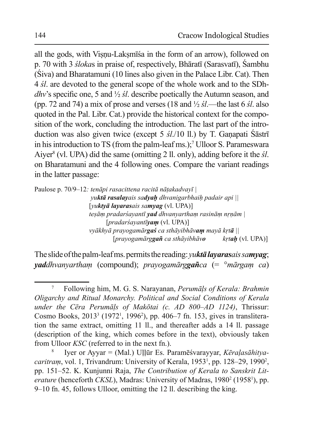all the gods, with Visnu-Laksmisa in the form of an arrow), followed on p. 70 with 3 *slokas* in praise of, respectively, Bharati (Sarasvati), Sambhu (Siva) and Bharatamuni (10 lines also given in the Palace Libr. Cat). Then 4 *sl*, are devoted to the general scope of the whole work and to the SDh*dhv*'s specific one, 5 and  $\frac{1}{2}$  *st*. describe poetically the Autumn season, and (pp. 72 and 74) a mix of prose and verses (18 and  $\frac{1}{2}$  sl.—the last 6 sl. also quoted in the Pal. Libr. Cat.) provide the historical context for the composition of the work, concluding the introduction. The last part of the introduction was also given twice (except 5 sl./10 ll.) by T. Ganapati Sastri in his introduction to TS (from the palm-leaf ms.);<sup>7</sup> Ulloor S. Parameswara Aiver<sup>8</sup> (vl. UPA) did the same (omitting 2 ll. only), adding before it the  $\dot{s}l$ . on Bharatamuni and the 4 following ones. Compare the variant readings in the latter passage:

Paulose p. 70/9-12: tenāpi rasacittena racitā nātakadvayī | vuktā rasalavais sadvah dhvanigarbhaih padair api || [vuktvā lavarasais samyag (vl. UPA)] teşām pradarśayantī yad dhvanyartham rasinām nrņām |  $[pradar'$ sayantī**yam** (vl. UPA)] vyākhyā prayogamār**gaś** ca sthāyibhāv**am** mayā krt**ā** || [pravogamārg**gañ** ca sthāvibhāvo  $krtah$  (vl. UPA)]

The slide of the palm-leaf ms. permits the reading: *vuktā lavarasais samvag*; **yad**dhvanyartham (compound); *prayogamārggañca* (=  $\degree$ *mārgam ca*)

 $\overline{7}$ Following him, M. G. S. Narayanan, *Perumals of Kerala: Brahmin* Oligarchy and Ritual Monarchy. Political and Social Conditions of Kerala under the Cēra Perumāls of Makōtai (c. AD 800-AD 1124), Thrissur: Cosmo Books, 2013<sup>3</sup> (1972<sup>1</sup>, 1996<sup>2</sup>), pp. 406–7 fn. 153, gives in transliteration the same extract, omitting 11 ll., and thereafter adds a 14 ll. passage (description of the king, which comes before in the text), obviously taken from Ulloor KSC (referred to in the next fn.).

Iyer or Ayyar = (Mal.) Ullūr Es. Paramēśvarayyar, Kēralasāhityacaritram, vol. 1, Trivandrum: University of Kerala, 1953<sup>1</sup>, pp. 128–29, 1990<sup>2</sup>, pp. 151–52. K. Kunjunni Raja, The Contribution of Kerala to Sanskrit Lit*erature* (henceforth *CKSL*), Madras: University of Madras, 1980<sup>2</sup> (1958<sup>1</sup>), pp. 9–10 fn. 45, follows Ulloor, omitting the 12 ll. describing the king.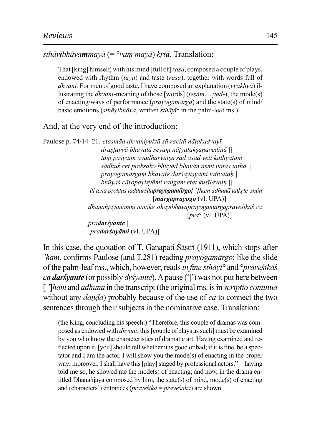$v^2E$  *Sthāvāmmavā*  $(=\circ v$ *am mavā*) *krtā*. Translation:

That [king] himself, with his mind [full of] *rasa*, composed a couple of plays, endowed with rhythm (*lava*) and taste (*rasa*), together with words full of *dhvani.* For men of good taste, I have composed an explanation (*vvākhvā*) illustrating the *dhvani*-meaning of those [words] (*tesām... yad*-), the mode(s) of enacting/ways of performance (*prayogamārga*) and the state(s) of mind/ basic emotions (*sthāyibhāva*, written *sthāyī*<sup>o</sup> in the palm-leaf ms.).

And, at the very end of the introduction:

Paulose p. 74/14–21: etasmād dhvaniyuktā sā racitā nāțakadvayī | *drastavyā bhavatā seyam nātyalaksanavedinā* ||  $t\bar{a}$ m paśyann avadhāryaisā sad asad veti kathyatām | *sādhuś cet prekṣako bhūyād bhavān asmi naṭas tathā* || *prayogamārgam bhavate daršayişyāmi tattvatah* | *bhūvas<sup>†</sup>* cāropavisvāmi rangam etat kustīlavaih || *Lii tena proktas taddarśitaprayogamārgo[']ham adhunā tatkrte'smin*  $[m\bar{a}rgapravogo(vl, UPA)]$ dhanañjayanāmni nātake sthāyibhāvaprayogamārgaprāveśikāś ca  $[pra<sup>o</sup> (vl. UPA)]$ *Dradarśvante* | [*pradarśayāmi* (vl. UPA)]

In this case, the quotation of T. Ganapati  $\tilde{S}$  as a field  $(1911)$ , which stops after *'ham*, confirms Paulose (and T.281) reading *pravogamārgo*; like the slide of the palm-leaf ms., which, however, reads in fine sthav<sup>7</sup> and <sup>o</sup>pravestikas *ca darśyante* (or possibly *drśyante*). A pause ('|') was not put here between  $\int$  *[ lham* and *adhuna* in the transcript (the original ms. is in *scriptio continua* without any *danda*) probably because of the use of *ca* to connect the two sentences through their subjects in the nominative case. Translation:

(the King, concluding his speech:) "Therefore, this couple of dramas was composed as endowed with *dhyani*; this [couple of plays as such] must be examined by you who know the characteristics of dramatic art. Having examined and reflected upon it, [you] should tell whether it is good or bad; if it is fine, be a spectator and I am the actor. I will show you the mode(s) of enacting in the proper way; moreover, I shall have this [play] staged by professional actors."—having told me so, he showed me the mode(s) of enacting; and now, in the drama entitled Dhanañjaya composed by him, the state(s) of mind, mode(s) of enacting and (characters') entrances (*praveśika* = *praveśaka*) are shown.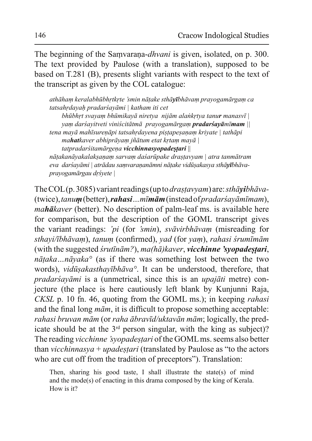The beginning of the Samvarana-*dhvani* is given, isolated, on p. 300. The text provided by Paulose (with a translation), supposed to be based on T.281 (B), presents slight variants with respect to the text of the transcript as given by the COL catalogue:

athāham keralabhūbhrtkrte 'smin nātake sthāyībhāvam prayogamārgam ca tatsahrdayah pradarśayāmi | katham iti cet

bhūbhrt svayam bhūmikayā niretya nijām alankrtya tanur manasvī $\vert$ yam darśayitveti viniścitātmā prayogamārgam **pradarśayāmīmam** tena mayā mahīsureņāpi tatsahrdayena pistapesaņam kriyate | tathāpi mahatkaver abhiprāvam jñātum etat krtam mavā | tatpradarśitamārgeņa vicchinnasyopadestari ||

nātakanāyakalaksaņam sarvam dasarūpake drastavyam | atra tanmātram eva darsayāmi | atrādau samvarananāmni nātake vidūsakasya sthāyībhāvaprayogamārgau drśyete |

The COL(p. 3085) variant readings (up to *drastavyam*) are: *sth* $\bar{a}$ *yibh* $\bar{a}$ *va*-(twice), tanum (better), rahasi... mīmām (instead of pradars avāmīmam), *mahākaver* (better). No description of palm-leaf ms. is available here for comparison, but the description of the GOML transcript gives the variant readings: 'pi (for 'smin), svāvirbhāvam (misreading for sthayi/ībhāvam), tanum (confirmed), yad (for yam), rahasi śrumīmām (with the suggested  $\frac{sin\pi m}{2}$ ),  $ma(h\bar{a})kaver$ , vicchinne 'svopadestari,  $n\bar{a}$ taka... $n\bar{a}$ yaka $\circ$  (as if there was something lost between the two words), vidūșakasthayībhāva°. It can be understood, therefore, that *pradarsavāmi* is a (unmetrical, since this is an *upajāti* metre) conjecture (the place is here cautiously left blank by Kunjunni Raja, CKSL p. 10 fn. 46, quoting from the GOML ms.); in keeping *rahasi* and the final long  $m\bar{a}m$ , it is difficult to propose something acceptable: rahasi bruvan mām (or raha ābravīd/uktavān mām; logically, the predicate should be at the 3<sup>rd</sup> person singular, with the king as subject)? The reading vicchinne 'syopadestari of the GOML ms. seems also better than *vicchinnasya* + *upadestari* (translated by Paulose as "to the actors" who are cut off from the tradition of preceptors"). Translation:

Then, sharing his good taste, I shall illustrate the state(s) of mind and the mode(s) of enacting in this drama composed by the king of Kerala. How is it?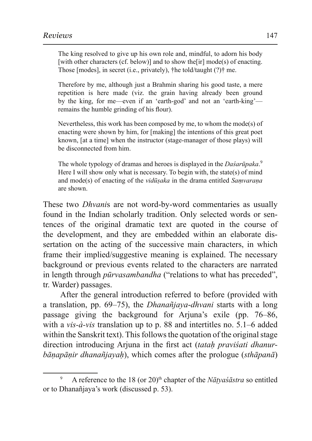The king resolved to give up his own role and, mindful, to adorn his body [with other characters (cf. below)] and to show the  $\lceil \text{ir} \rceil \text{ mode(s)}$  of enacting. Those [modes], in secret (i.e., privately),  $\mathcal{F}$  he told/taught (?) $\mathcal{F}$  me.

Therefore by me, although just a Brahmin sharing his good taste, a mere repetition is here made (viz. the grain having already been ground by the king, for me—even if an 'earth-god' and not an 'earth-king' remains the humble grinding of his flour).

Nevertheless, this work has been composed by me, to whom the mode(s) of enacting were shown by him, for [making] the intentions of this great poet known, [at a time] when the instructor (stage-manager of those plays) will be disconnected from him.

The whole typology of dramas and heroes is displayed in the *Dasarūpaka*.<sup>9</sup> Here I will show only what is necessary. To begin with, the state(s) of mind and mode(s) of enacting of the *vidusaka* in the drama entitled *Samvarana* are shown.

These two *Dhvanis* are not word-by-word commentaries as usually found in the Indian scholarly tradition. Only selected words or sentences of the original dramatic text are quoted in the course of the development, and they are embedded within an elaborate dissertation on the acting of the successive main characters, in which frame their implied/suggestive meaning is explained. The necessary background or previous events related to the characters are narrated in length through *pūrvasambandha* ("relations to what has preceded", tr. Warder) passages.

After the general introduction referred to before (provided with a translation, pp. 69–75), the *Dhanantjaya-dhvani* starts with a long passage giving the background for Arjuna's exile (pp. 76–86, with a *vis-à-vis* translation up to p. 88 and intertitles no. 5.1–6 added within the Sanskrit text). This follows the quotation of the original stage direction introducing Arjuna in the first act *(tatah pravisati dhanurbānapānir dhanañjayah*), which comes after the prologue (sthāpanā)

<sup>9</sup> A reference to the 18 (or 20)<sup>th</sup> chapter of the *Nātyasāstra* so entitled or to Dhanañjaya's work (discussed p. 53).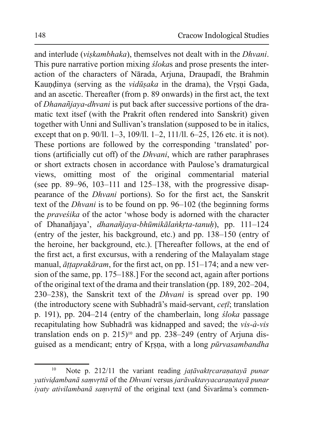and interlude (viskambhaka), themselves not dealt with in the Dhvani. This pure narrative portion mixing *slokas* and prose presents the interaction of the characters of Nārada, Arjuna, Draupadī, the Brahmin Kaundinya (serving as the *vidūsaka* in the drama), the Vrsni Gada, and an ascetic. Thereafter (from p. 89 onwards) in the first act, the text of *Dhanañjaya-dhvani* is put back after successive portions of the dramatic text itsef (with the Prakrit often rendered into Sanskrit) given together with Unni and Sullivan's translation (supposed to be in italics, except that on p. 90/ll. 1–3, 109/ll. 1–2, 111/ll. 6–25, 126 etc. it is not). These portions are followed by the corresponding 'translated' portions (artificially cut off) of the *Dhvani*, which are rather paraphrases or short extracts chosen in accordance with Paulose's dramaturgical views, omitting most of the original commentarial material (see pp.  $89-96$ ,  $103-111$  and  $125-138$ , with the progressive disappearance of the *Dhvani* portions). So for the first act, the Sanskrit text of the *Dhvani* is to be found on pp. 96–102 (the beginning forms the *pravestika* of the actor 'whose body is adorned with the character of Dhanañjaya', dhanañjaya-bhūmikālankrta-tanuh), pp. 111-124 (entry of the jester, his background, etc.) and pp. 138–150 (entry of the heroine, her background, etc.). [Thereafter follows, at the end of the first act, a first excursus, with a rendering of the Malayalam stage manual, *āttaprakāram*, for the first act, on pp. 151–174; and a new version of the same, pp. 175–188.] For the second act, again after portions of the original text of the drama and their translation (pp. 189, 202–204, 230–238), the Sanskrit text of the *Dhvani* is spread over pp. 190 (the introductory scene with Subhadra's maid-servant, ceți; translation p. 191), pp. 204–214 (entry of the chamberlain, long *sloka* passage recapitulating how Subhadra was kidnapped and saved; the *vis-à-vis* translation ends on p. 215)<sup>10</sup> and pp. 238–249 (entry of Arjuna disguised as a mendicant; entry of Krsna, with a long pūrvasambandha

 $10$ Note p. 212/11 the variant reading *jatāvaktrcaranatayā punar* vatividambanā samvrttā of the Dhvani versus jarāvaktavyacaraņatayā punar *iyaty ativilambanā samvrttā* of the original text (and Sivarāma's commen-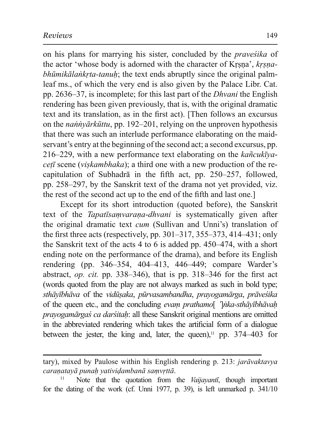on his plans for marrying his sister, concluded by the *pravestika* of the actor 'whose body is adorned with the character of Krsna', krsna*bhūmikālankrta-tanuh*; the text ends abruptly since the original palmleaf ms., of which the very end is also given by the Palace Libr. Cat. pp. 2636–37, is incomplete; for this last part of the *Dhyani* the English rendering has been given previously, that is, with the original dramatic text and its translation, as in the first act). [Then follows an excursus on the *nannyarkūttu*, pp. 192–201, relying on the unproven hypothesis that there was such an interlude performance elaborating on the maidservant's entry at the beginning of the second act; a second excursus, pp. 216–229, with a new performance text elaborating on the  $ka\tilde{n}cuk\tilde{v}a$ *ceti* scene (*viskambhaka*); a third one with a new production of the recapitulation of Subhadra in the fifth act, pp. 250–257, followed, pp. 258–297, by the Sanskrit text of the drama not yet provided, viz. the rest of the second act up to the end of the fifth and last one.

Except for its short introduction (quoted before), the Sanskrit text of the *Tapatisamvarana-dhvani* is systematically given after the original dramatic text cum (Sullivan and Unni's) translation of the first three acts (respectively, pp.  $301-317$ ,  $355-373$ ,  $414-431$ ; only the Sanskrit text of the acts 4 to 6 is added pp.  $450-474$ , with a short ending note on the performance of the drama), and before its English rendering (pp. 346–354, 404–413, 446–449; compare Warder's abstract, *op. cit.* pp. 338–346), that is pp. 318–346 for the first act (words quoted from the play are not always marked as such in bold type; sthāvībhāva of the vidūsaka, pūrvasambandha, pravogamārga, prāveśika of the queen etc., and the concluding evam prathamol 'lnka-sthāyībhāvaḥ *prayogamārgas ca darstah: all these Sanskrit original mentions are omitted* in the abbreviated rendering which takes the artificial form of a dialogue between the jester, the king and, later, the queen),<sup>11</sup> pp.  $374-403$  for

tary), mixed by Paulose within his English rendering p. 213: jarāvaktavya caraņatayā punaķ yatividambanā samvrttā.

 $11$ Note that the quotation from the Vaijavanti, though important for the dating of the work (cf. Unni 1977, p. 39), is left unmarked p. 341/10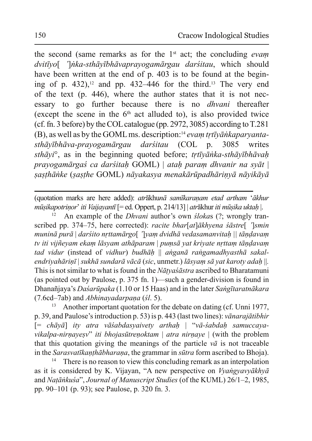the second (same remarks as for the  $1<sup>st</sup>$  act; the concluding *evam* dvitīyo[ ']nka-sthāyībhāvaprayogamārgau darśitau, which should have been written at the end of p. 403 is to be found at the begining of p. 432),<sup>12</sup> and pp. 432–446 for the third.<sup>13</sup> The very end of the text (p. 446), where the author states that it is not necessary to go further because there is no *dhvani* thereafter (except the scene in the  $6<sup>th</sup>$  act alluded to), is also provided twice (cf. fn. 3 before) by the COL catalogue (pp. 2972, 3085) according to  $T.281$  $(B)$ , as well as by the GOML ms. description:<sup>14</sup> *evam trtīvānkaparvantasthāvībhāva-prayogamārgau darśitau* (COL p. 3085 writes *sthāyi*<sup>°</sup>, as in the beginning quoted before; trtīyānka-sthāyībhāvaḥ *prayogamārgas ca darstah GOML) | atah param dhyanir na syāt |* sasthānke (sasthe GOML) nāvakasva menakārūpadhārinvā nāvikāvā

(quotation marks are here added): *atr*ākhunā samīkaranam etad artham 'ākhur *Pnūsikapotrinor' iti Vaijayantī* [= ed. Oppert, p. 214/13] | *atrākhur iti mūsika uktah* |.

An example of the *Dhyani* author's own *ślokas* (?; wrongly transcribed pp. 374–75, here corrected): racite bhar[at] $\bar{a}$ khyena ś $\bar{a}$ stre[ ']smin *Palininā purā* | *darśito nrttamārgo*[ ']yam dvidhā vedasamanvitaḥ || tāṇḍavaṃ *tv* iti vijñevam ekam lāsvam athāparam | pumsā vat krivate nrttam tāndavam *tad vidur* (instead of *vidhur*) *budhāḥ* || *anganā rangamadhyasthā sakalendriyahāriņī* | *sukhā sundarā vācā* (*sic*, unmetr.) lāsyam sā yat karoty adaļa ||. This is not similar to what is found in the *Nātya'sastra* ascribed to Bharatamuni (as pointed out by Paulose, p. 375 fn. 1)—such a gender-division is found in Dhanañjaya's *Daśarūpaka* (1.10 or 15 Haas) and in the later *Sangītaratnākara* (7.6cd-7ab) and *Abhinayadarpana* (*śl.* 5).

<sup>13</sup> Another important quotation for the debate on dating (cf. Unni 1977, p. 39, and Paulose's introduction p. 53) is p. 443 (last two lines): *vānarajātibhir*  $[= ch\bar{a}v\bar{a}]$  ity atra vāśabdasyaivety arthah  $|$  "vā-śabdah samuccaya-*Vikalpa-nirnayesy*<sup>*n*</sup> *iti bhojasūtrenoktam* | *atra nirnaye* | (with the problem that this quotation giving the meanings of the particle  $v\bar{a}$  is not traceable in the *Sarasvatīkanthābharana*, the grammar in *sūtra* form ascribed to Bhoja).

<sup>14</sup> There is no reason to view this concluding remark as an interpolation as it is considered by K. Vijayan, "A new perspective on *Vyangyavyākhyā* and *Natānkuśa*", Journal of Manuscript Studies (of the KUML) 26/1–2, 1985, pp. 90–101 (p. 93); see Paulose, p. 320 fn. 3.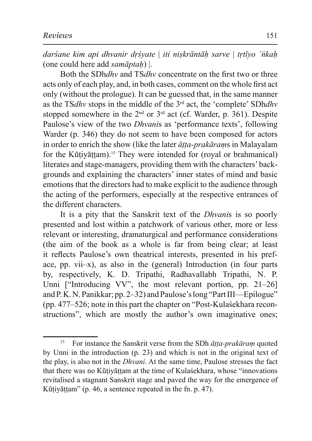*darsane kim api dhvanir drsvate* | *iti niskrāntāh sarve* | *trtīvo 'nkah* (one could here add *samāptah*) |.

Both the SDh*dhy* and TS*dhy* concentrate on the first two or three acts only of each play, and, in both cases, comment on the whole first act only (without the prologue). It can be guessed that, in the same manner as the TS*dhv* stops in the middle of the 3<sup>rd</sup> act, the 'complete' SDh*dhv* stopped somewhere in the  $2<sup>nd</sup>$  or  $3<sup>rd</sup>$  act (cf. Warder, p. 361). Despite Paulose's view of the two *Dhvanis* as 'performance texts', following Warder (p. 346) they do not seem to have been composed for actors in order to enrich the show (like the later  $\bar{a}t$  *ta-prakārams* in Malayalam for the Kūțiyāțțam).<sup>15</sup> They were intended for (royal or brahmanical) literates and stage-managers, providing them with the characters' backgrounds and explaining the characters' inner states of mind and basic emotions that the directors had to make explicit to the audience through the acting of the performers, especially at the respective entrances of the different characters.

It is a pity that the Sanskrit text of the *Dhvanis* is so poorly presented and lost within a patchwork of various other, more or less relevant or interesting, dramaturgical and performance considerations (the aim of the book as a whole is far from being clear; at least it reflects Paulose's own theatrical interests, presented in his preface, pp. vii- $x$ ), as also in the (general) Introduction (in four parts by, respectively, K. D. Tripathi, Radhavallabh Tripathi, N. P. Unni ["Introducing VV", the most relevant portion, pp.  $21-26$ ] and P. K. N. Panikkar; pp. 2–32) and Paulose's long "Part III—Epilogue" (pp. 477–526; note in this part the chapter on "Post-Kulasekhara reconstructions", which are mostly the author's own imaginative ones;

<sup>&</sup>lt;sup>15</sup> For instance the Sanskrit verse from the SDh  $\bar{a}$ tta-prakaram quoted by Unni in the introduction  $(p, 23)$  and which is not in the original text of the play, is also not in the *Dhvani*. At the same time, Paulose stresses the fact that there was no Kūțiyāṭṭam at the time of Kulasekhara, whose "innovations" revitalised a stagnant Sanskrit stage and paved the way for the emergence of Kūțiyāṭṭam" (p. 46, a sentence repeated in the fn. p. 47).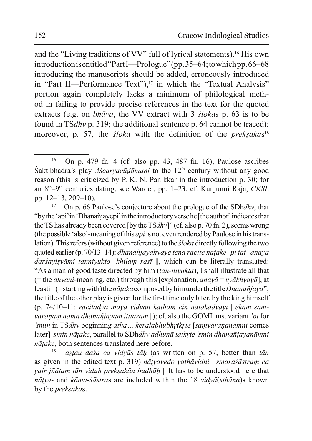and the "Living traditions of VV" full of lyrical statements).<sup>16</sup> His own introduction is entitled "PartI—Prologue" (pp. 35–64; to which pp. 66–68 introducing the manuscripts should be added, erroneously introduced in "Part II—Performance Text"),<sup>17</sup> in which the "Textual Analysis" portion again completely lacks a minimum of philological method in failing to provide precise references in the text for the quoted extracts (e.g. on *bhāva*, the VV extract with 3 *slokas* p. 63 is to be found in TSdhv p. 319; the additional sentence p. 64 cannot be traced); moreover, p. 57, the *sloka* with the definition of the *preksakas*<sup>18</sup>

astau dasa ca vidyās tāh (as written on p. 57, better than tān as given in the edited text p. 319) nātvavedo vathāvidhi | smarasāstram ca vair jñātam tān viduh preksakān budhāh || It has to be understood here that nātya- and kāma-sāstras are included within the 18 vidyā(sthāna)s known by the *preksakas*.

On p. 479 fn. 4 (cf. also pp. 43, 487 fn. 16), Paulose ascribes 16 Saktibhadra's play  $\overline{A}$ *scaryacūdāmani* to the 12<sup>th</sup> century without any good reason (this is criticized by P. K. N. Panikkar in the introduction p. 30; for an 8<sup>th</sup>-9<sup>th</sup> centuries dating, see Warder, pp. 1-23, cf. Kunjunni Raja, CKSL pp. 12-13, 209-10).

On p. 66 Paulose's conjecture about the prologue of the SDhdhv, that 17 "by the 'api' in 'Dhanañjayepi' in the introductory verse he [the author] indicates that the TS has already been covered [by the TSdhv]" (cf. also p. 70 fn. 2), seems wrong (the possible 'also'-meaning of this *api* is not even rendered by Paulose in his translation). This refers (without given reference) to the *sloka* directly following the two quoted earlier (p. 70/13–14): *dhanañjayāhvaye tena racite nāțake 'pi tat* | anayā darśayisyāmi tanniyukto 'khilam rasī ||, which can be literally translated: "As a man of good taste directed by him *(tan-niyukta)*, I shall illustrate all that (= the *dhvani*-meaning, etc.) through this [explanation, *anay* $\bar{a}$  = *vyākhyayā*], at least in (= starting with) the *n* $\bar{a}$ taka composed by him under the title *Dhanañjaya*"; the title of the other play is given for the first time only later, by the king himself (p. 74/10-11: racitādya mayā vidvan katham cin nātakadvayī | ekam samvaranam nāma dhanañjayam itītaram  $\parallel$ ); cf. also the GOML ms. variant 'pi for smin in TSdhy beginning atha... keralabhūbhrtkrte [samvarananāmni comes] later] 'smin nāțake, parallel to SDhdhv adhunā tatkrte 'smin dhanañjayanāmni nātake, both sentences translated here before.